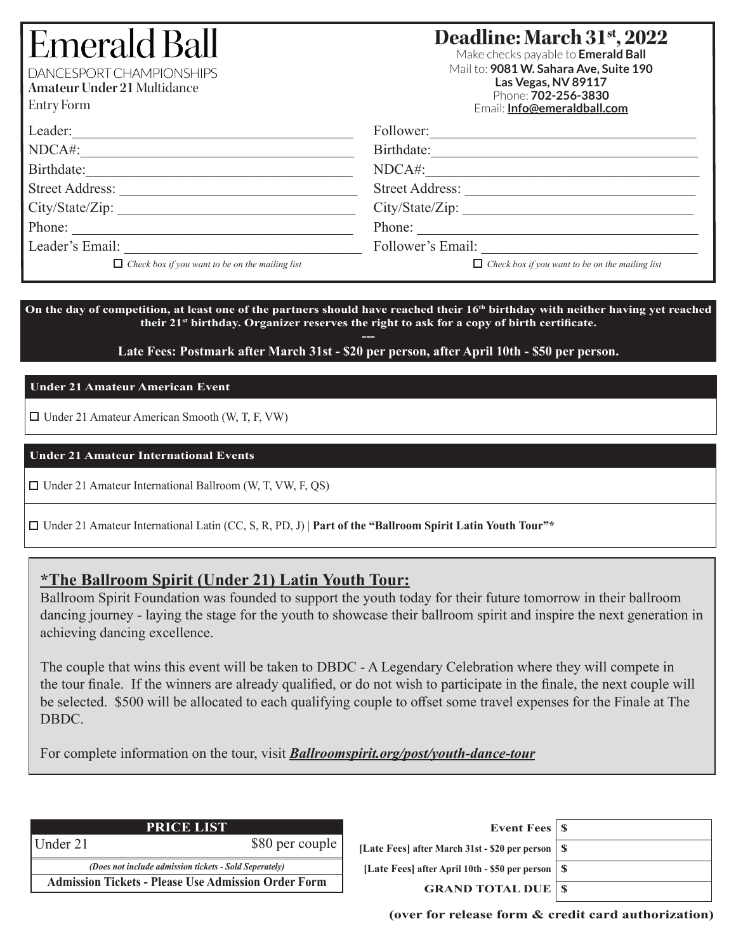# Emerald Ba

DANCESPORT CHAMPIONSHIPS

**Amateur Under 21** Multidance

Entry Form

# **Deadline: March 31st, 2022**

Make checks payable to **Emerald Ball** Mail to: **9081 W. Sahara Ave, Suite 190 Las Vegas, NV 89117** Phone: **702-256-3830** Email: **Info@emeraldball.com**

| Leader:                                                | Follower:                                              |  |  |  |
|--------------------------------------------------------|--------------------------------------------------------|--|--|--|
| NDCA#:                                                 | Birthdate:                                             |  |  |  |
| Birthdate:                                             | NDCA#:                                                 |  |  |  |
| <b>Street Address:</b>                                 | <b>Street Address:</b>                                 |  |  |  |
| City/State/Zip:                                        | City/State/Zip:                                        |  |  |  |
| Phone:                                                 | Phone:                                                 |  |  |  |
| Leader's Email:                                        | Follower's Email:                                      |  |  |  |
| $\Box$ Check box if you want to be on the mailing list | $\Box$ Check box if you want to be on the mailing list |  |  |  |

On the day of competition, at least one of the partners should have reached their 16<sup>th</sup> birthday with neither having yet reached **their 21st birthday. Organizer reserves the right to ask for a copy of birth certificate. ---**

**Late Fees: Postmark after March 31st - \$20 per person, after April 10th - \$50 per person.**

# **Under 21 Amateur American Event**

 $\Box$  Under 21 Amateur American Smooth (W, T, F, VW)

# **Under 21 Amateur International Events**

 $\Box$  Under 21 Amateur International Ballroom (W, T, VW, F, OS)

Under 21 Amateur International Latin (CC, S, R, PD, J) | **Part of the "Ballroom Spirit Latin Youth Tour"\***

# **\*The Ballroom Spirit (Under 21) Latin Youth Tour:**

Ballroom Spirit Foundation was founded to support the youth today for their future tomorrow in their ballroom dancing journey - laying the stage for the youth to showcase their ballroom spirit and inspire the next generation in achieving dancing excellence.

The couple that wins this event will be taken to DBDC - A Legendary Celebration where they will compete in the tour finale. If the winners are already qualified, or do not wish to participate in the finale, the next couple will be selected. \$500 will be allocated to each qualifying couple to offset some travel expenses for the Finale at The DBDC.

For complete information on the tour, visit *Ballroomspirit.org/post/youth-dance-tour*

|                                                               | <b>PRICE LIST</b>                                          |     |
|---------------------------------------------------------------|------------------------------------------------------------|-----|
| Under 21                                                      | \$80 per couple                                            | Lat |
| <i>(Does not include admission tickets - Sold Seperately)</i> |                                                            |     |
|                                                               | <b>Admission Tickets - Please Use Admission Order Form</b> |     |

| Event Fees   \$                                     |
|-----------------------------------------------------|
| [Late Fees] after March 31st - \$20 per person   \$ |
| [Late Fees] after April 10th - \$50 per person   \$ |
| <b>GRAND TOTAL DUE   \$</b>                         |
|                                                     |

**(over for release form & credit card authorization)**